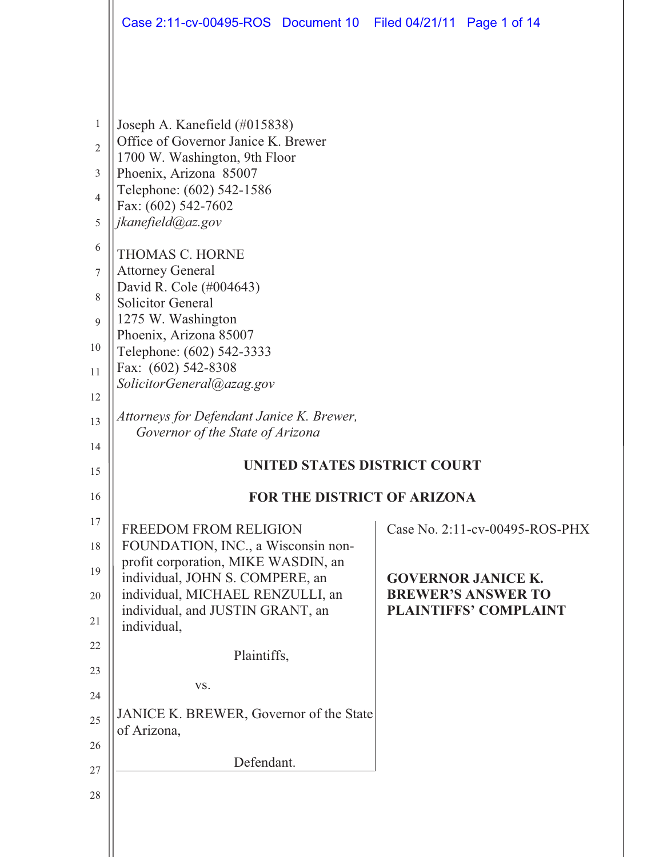|                | Case 2:11-cv-00495-ROS Document 10 Filed 04/21/11 Page 1 of 14       |  |                                |  |
|----------------|----------------------------------------------------------------------|--|--------------------------------|--|
|                |                                                                      |  |                                |  |
| $\,1$          | Joseph A. Kanefield (#015838)                                        |  |                                |  |
| $\overline{2}$ | Office of Governor Janice K. Brewer<br>1700 W. Washington, 9th Floor |  |                                |  |
| 3              | Phoenix, Arizona 85007<br>Telephone: (602) 542-1586                  |  |                                |  |
| $\overline{4}$ | Fax: (602) 542-7602                                                  |  |                                |  |
| 5              | jkanefield@az.gov                                                    |  |                                |  |
| 6              | THOMAS C. HORNE                                                      |  |                                |  |
| $\tau$         | <b>Attorney General</b><br>David R. Cole (#004643)                   |  |                                |  |
| 8              | <b>Solicitor General</b>                                             |  |                                |  |
| 9              | 1275 W. Washington<br>Phoenix, Arizona 85007                         |  |                                |  |
| 10             | Telephone: (602) 542-3333                                            |  |                                |  |
| 11             | Fax: (602) 542-8308<br>SolicitorGeneral@azag.gov                     |  |                                |  |
| 12             | Attorneys for Defendant Janice K. Brewer,                            |  |                                |  |
| 13             | Governor of the State of Arizona                                     |  |                                |  |
| 14<br>15       | UNITED STATES DISTRICT COURT                                         |  |                                |  |
| 16             | FOR THE DISTRICT OF ARIZONA                                          |  |                                |  |
| 17             |                                                                      |  |                                |  |
|                |                                                                      |  |                                |  |
| 18             | <b>FREEDOM FROM RELIGION</b><br>FOUNDATION, INC., a Wisconsin non-   |  | Case No. 2:11-cv-00495-ROS-PHX |  |
| 19             | profit corporation, MIKE WASDIN, an                                  |  | <b>GOVERNOR JANICE K.</b>      |  |
| 20             | individual, JOHN S. COMPERE, an<br>individual, MICHAEL RENZULLI, an  |  | <b>BREWER'S ANSWER TO</b>      |  |
| 21             | individual, and JUSTIN GRANT, an<br>individual,                      |  | <b>PLAINTIFFS' COMPLAINT</b>   |  |
| 22             |                                                                      |  |                                |  |
| 23             | Plaintiffs,                                                          |  |                                |  |
| 24             | VS.                                                                  |  |                                |  |
| 25             | JANICE K. BREWER, Governor of the State<br>of Arizona,               |  |                                |  |
| 26             | Defendant.                                                           |  |                                |  |
| 27             |                                                                      |  |                                |  |
| 28             |                                                                      |  |                                |  |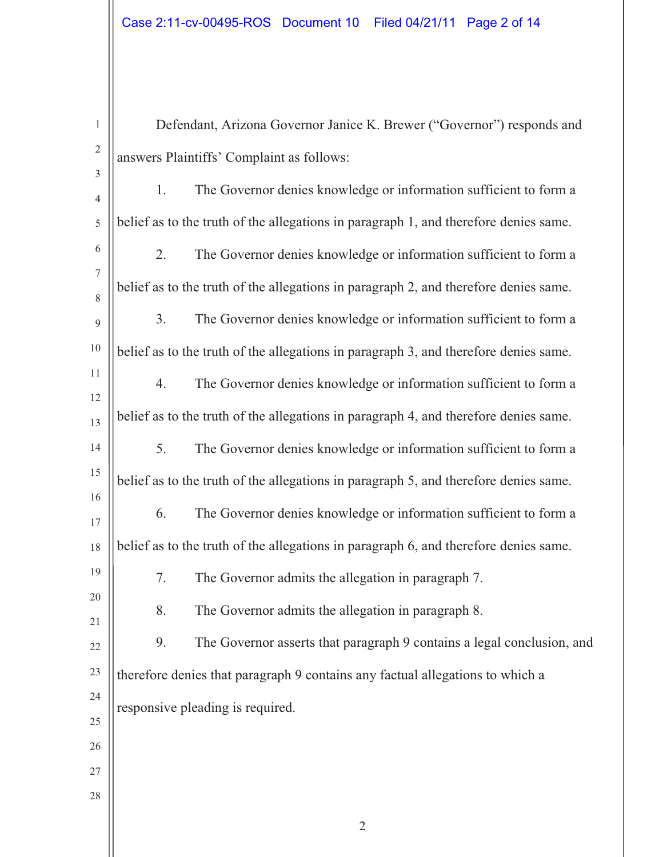2 1 2 3 4 5 6 7 8 9 10 11 12 13 14 15 16 17 18 19 20 21 22 23 24 25 26 27 28 Defendant, Arizona Governor Janice K. Brewer ("Governor") responds and answers Plaintiffs' Complaint as follows: 1. The Governor denies knowledge or information sufficient to form a belief as to the truth of the allegations in paragraph 1, and therefore denies same. 2. The Governor denies knowledge or information sufficient to form a belief as to the truth of the allegations in paragraph 2, and therefore denies same. 3. The Governor denies knowledge or information sufficient to form a belief as to the truth of the allegations in paragraph 3, and therefore denies same. 4. The Governor denies knowledge or information sufficient to form a belief as to the truth of the allegations in paragraph 4, and therefore denies same. 5. The Governor denies knowledge or information sufficient to form a belief as to the truth of the allegations in paragraph 5, and therefore denies same. 6. The Governor denies knowledge or information sufficient to form a belief as to the truth of the allegations in paragraph 6, and therefore denies same. 7. The Governor admits the allegation in paragraph 7. 8. The Governor admits the allegation in paragraph 8. 9. The Governor asserts that paragraph 9 contains a legal conclusion, and therefore denies that paragraph 9 contains any factual allegations to which a responsive pleading is required.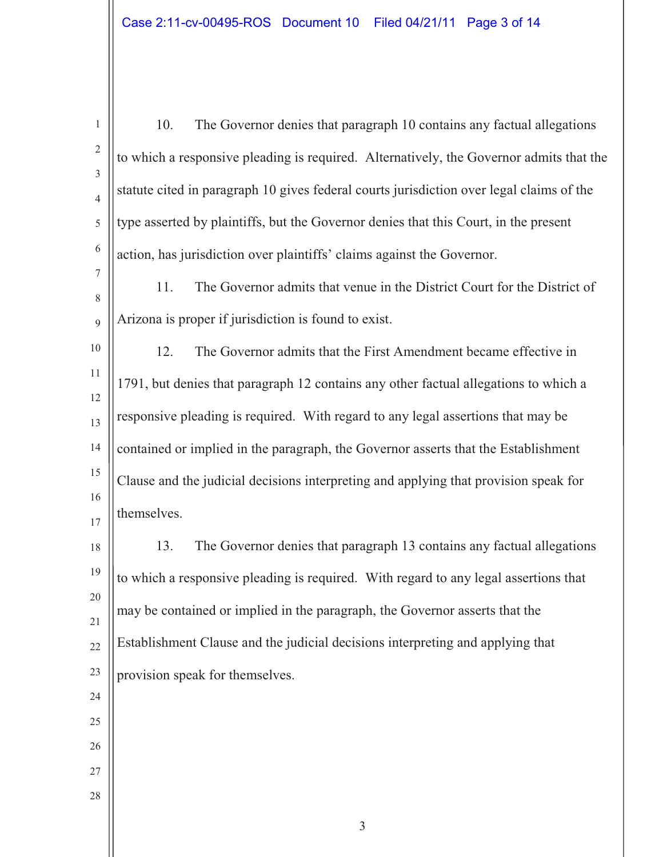10. The Governor denies that paragraph 10 contains any factual allegations to which a responsive pleading is required. Alternatively, the Governor admits that the statute cited in paragraph 10 gives federal courts jurisdiction over legal claims of the type asserted by plaintiffs, but the Governor denies that this Court, in the present action, has jurisdiction over plaintiffs' claims against the Governor.

 11. The Governor admits that venue in the District Court for the District of Arizona is proper if jurisdiction is found to exist.

 12. The Governor admits that the First Amendment became effective in 1791, but denies that paragraph 12 contains any other factual allegations to which a responsive pleading is required. With regard to any legal assertions that may be contained or implied in the paragraph, the Governor asserts that the Establishment Clause and the judicial decisions interpreting and applying that provision speak for themselves.

 13. The Governor denies that paragraph 13 contains any factual allegations to which a responsive pleading is required. With regard to any legal assertions that may be contained or implied in the paragraph, the Governor asserts that the Establishment Clause and the judicial decisions interpreting and applying that provision speak for themselves.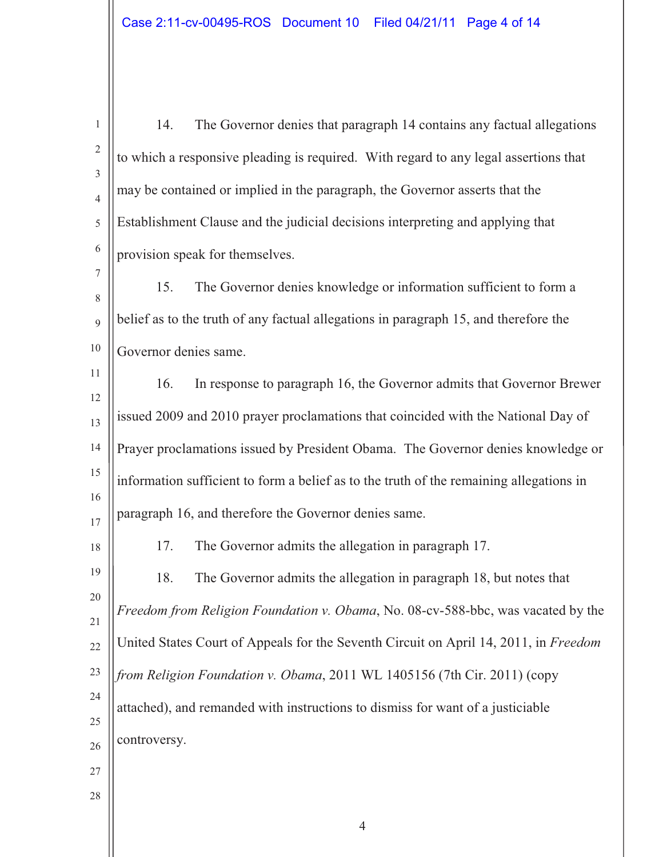2 3 5 6 14. The Governor denies that paragraph 14 contains any factual allegations to which a responsive pleading is required. With regard to any legal assertions that may be contained or implied in the paragraph, the Governor asserts that the Establishment Clause and the judicial decisions interpreting and applying that provision speak for themselves.

8 9 10 15. The Governor denies knowledge or information sufficient to form a belief as to the truth of any factual allegations in paragraph 15, and therefore the Governor denies same.

11 12 13 14 15 16 17 16. In response to paragraph 16, the Governor admits that Governor Brewer issued 2009 and 2010 prayer proclamations that coincided with the National Day of Prayer proclamations issued by President Obama. The Governor denies knowledge or information sufficient to form a belief as to the truth of the remaining allegations in paragraph 16, and therefore the Governor denies same.

18 19 20

1

 $\overline{\mathcal{A}}$ 

7

17. The Governor admits the allegation in paragraph 17.

21 22 23 24 25 26 18. The Governor admits the allegation in paragraph 18, but notes that *Freedom from Religion Foundation v. Obama*, No. 08-cv-588-bbc, was vacated by the United States Court of Appeals for the Seventh Circuit on April 14, 2011, in *Freedom from Religion Foundation v. Obama*, 2011 WL 1405156 (7th Cir. 2011) (copy attached), and remanded with instructions to dismiss for want of a justiciable controversy.

28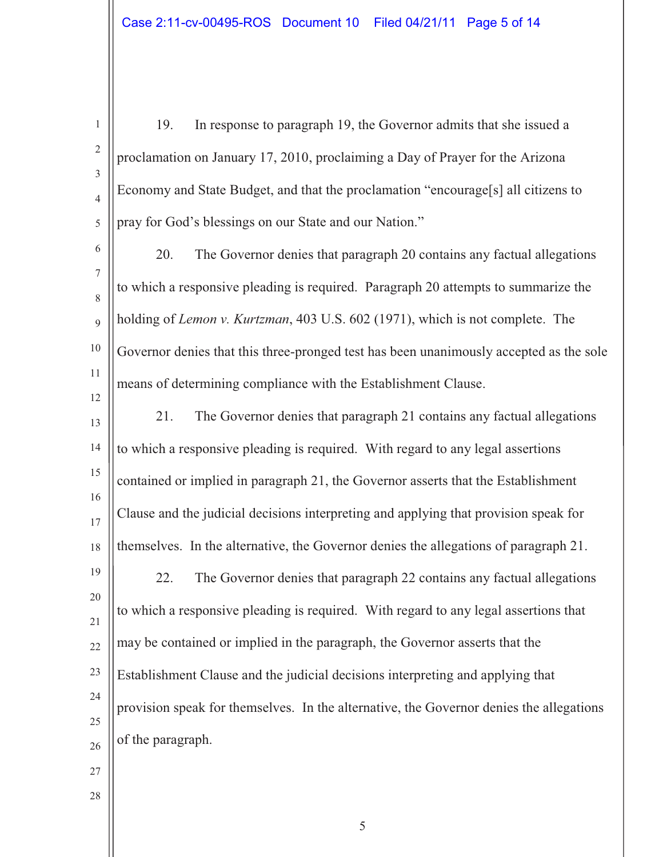1 2 3  $\overline{\mathcal{A}}$ 5 19. In response to paragraph 19, the Governor admits that she issued a proclamation on January 17, 2010, proclaiming a Day of Prayer for the Arizona Economy and State Budget, and that the proclamation "encourage[s] all citizens to pray for God's blessings on our State and our Nation."

6 7 8 9 10 11 20. The Governor denies that paragraph 20 contains any factual allegations to which a responsive pleading is required. Paragraph 20 attempts to summarize the holding of *Lemon v. Kurtzman*, 403 U.S. 602 (1971), which is not complete. The Governor denies that this three-pronged test has been unanimously accepted as the sole means of determining compliance with the Establishment Clause.

13 14 15 16 17 18 19 20 21 22 23 24 25 26 21. The Governor denies that paragraph 21 contains any factual allegations to which a responsive pleading is required. With regard to any legal assertions contained or implied in paragraph 21, the Governor asserts that the Establishment Clause and the judicial decisions interpreting and applying that provision speak for themselves. In the alternative, the Governor denies the allegations of paragraph 21. 22. The Governor denies that paragraph 22 contains any factual allegations to which a responsive pleading is required. With regard to any legal assertions that may be contained or implied in the paragraph, the Governor asserts that the Establishment Clause and the judicial decisions interpreting and applying that provision speak for themselves. In the alternative, the Governor denies the allegations of the paragraph.

27 28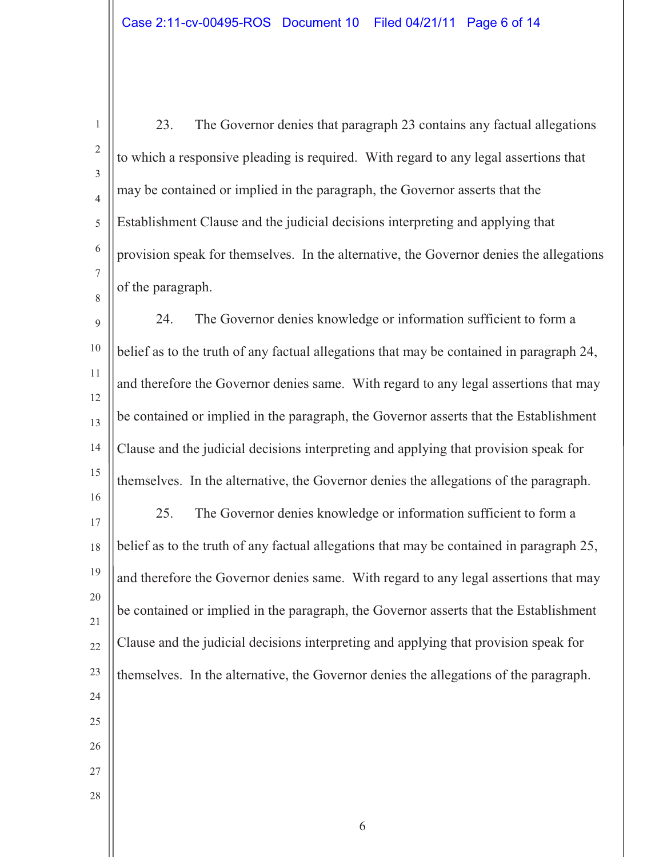23. The Governor denies that paragraph 23 contains any factual allegations to which a responsive pleading is required. With regard to any legal assertions that may be contained or implied in the paragraph, the Governor asserts that the Establishment Clause and the judicial decisions interpreting and applying that provision speak for themselves. In the alternative, the Governor denies the allegations of the paragraph.

9 10 11 12 13 14 15 16 24. The Governor denies knowledge or information sufficient to form a belief as to the truth of any factual allegations that may be contained in paragraph 24, and therefore the Governor denies same. With regard to any legal assertions that may be contained or implied in the paragraph, the Governor asserts that the Establishment Clause and the judicial decisions interpreting and applying that provision speak for themselves. In the alternative, the Governor denies the allegations of the paragraph.

17 18 19 20 21 22 23 24 25 26 25. The Governor denies knowledge or information sufficient to form a belief as to the truth of any factual allegations that may be contained in paragraph 25, and therefore the Governor denies same. With regard to any legal assertions that may be contained or implied in the paragraph, the Governor asserts that the Establishment Clause and the judicial decisions interpreting and applying that provision speak for themselves. In the alternative, the Governor denies the allegations of the paragraph.

27 28

1

2

3

 $\overline{\mathcal{A}}$ 

5

6

7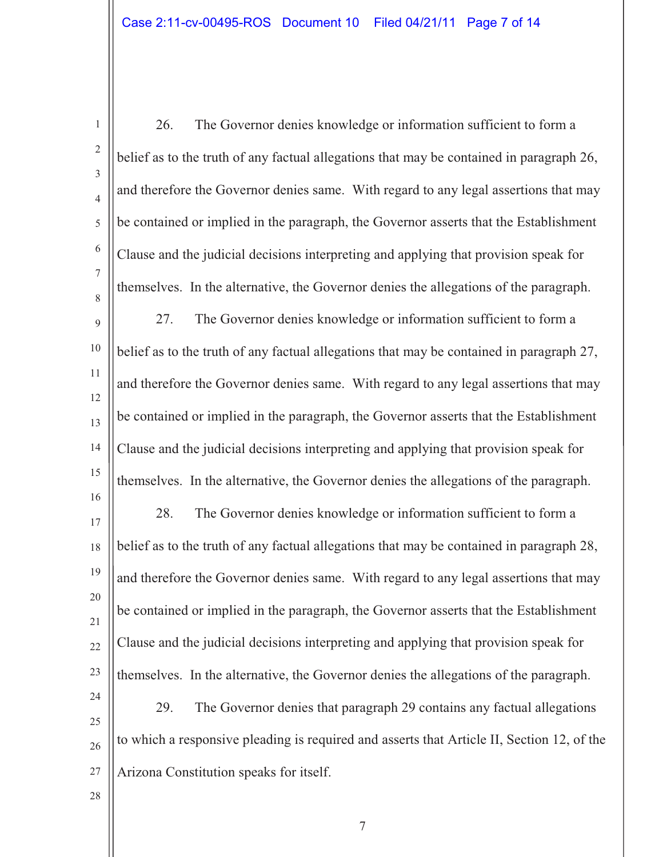1 2 3  $\overline{\mathcal{A}}$ 5 6 7 8 9 10 11 12 13 14 15 16 17 18 19 20 21 22 23 24 25 26 27 28 26. The Governor denies knowledge or information sufficient to form a belief as to the truth of any factual allegations that may be contained in paragraph 26, and therefore the Governor denies same. With regard to any legal assertions that may be contained or implied in the paragraph, the Governor asserts that the Establishment Clause and the judicial decisions interpreting and applying that provision speak for themselves. In the alternative, the Governor denies the allegations of the paragraph. 27. The Governor denies knowledge or information sufficient to form a belief as to the truth of any factual allegations that may be contained in paragraph 27, and therefore the Governor denies same. With regard to any legal assertions that may be contained or implied in the paragraph, the Governor asserts that the Establishment Clause and the judicial decisions interpreting and applying that provision speak for themselves. In the alternative, the Governor denies the allegations of the paragraph. 28. The Governor denies knowledge or information sufficient to form a belief as to the truth of any factual allegations that may be contained in paragraph 28, and therefore the Governor denies same. With regard to any legal assertions that may be contained or implied in the paragraph, the Governor asserts that the Establishment Clause and the judicial decisions interpreting and applying that provision speak for themselves. In the alternative, the Governor denies the allegations of the paragraph. 29. The Governor denies that paragraph 29 contains any factual allegations to which a responsive pleading is required and asserts that Article II, Section 12, of the Arizona Constitution speaks for itself.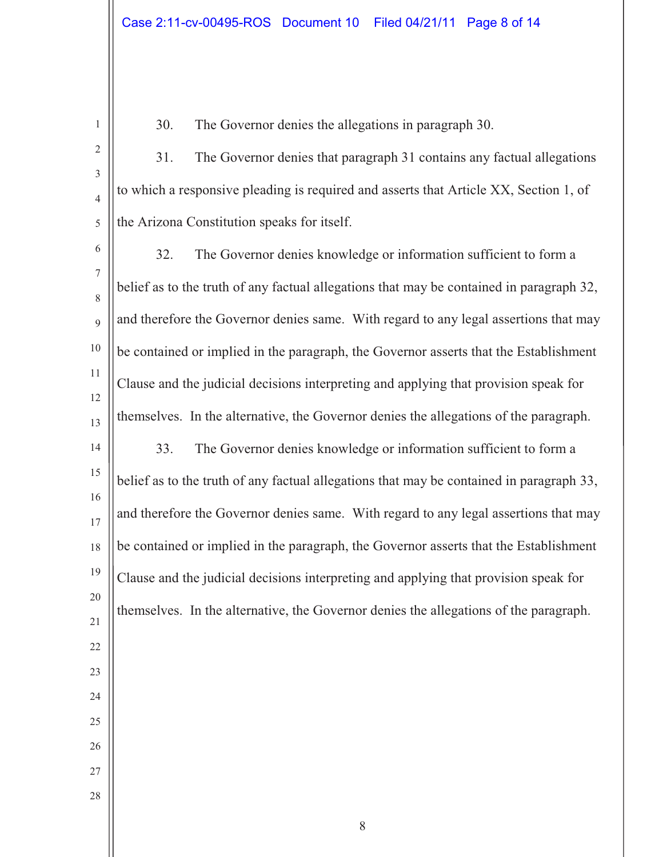30. The Governor denies the allegations in paragraph 30.

31. The Governor denies that paragraph 31 contains any factual allegations to which a responsive pleading is required and asserts that Article XX, Section 1, of the Arizona Constitution speaks for itself.

 32. The Governor denies knowledge or information sufficient to form a belief as to the truth of any factual allegations that may be contained in paragraph 32, and therefore the Governor denies same. With regard to any legal assertions that may be contained or implied in the paragraph, the Governor asserts that the Establishment Clause and the judicial decisions interpreting and applying that provision speak for themselves. In the alternative, the Governor denies the allegations of the paragraph. 33. The Governor denies knowledge or information sufficient to form a belief as to the truth of any factual allegations that may be contained in paragraph 33, and therefore the Governor denies same. With regard to any legal assertions that may be contained or implied in the paragraph, the Governor asserts that the Establishment Clause and the judicial decisions interpreting and applying that provision speak for themselves. In the alternative, the Governor denies the allegations of the paragraph.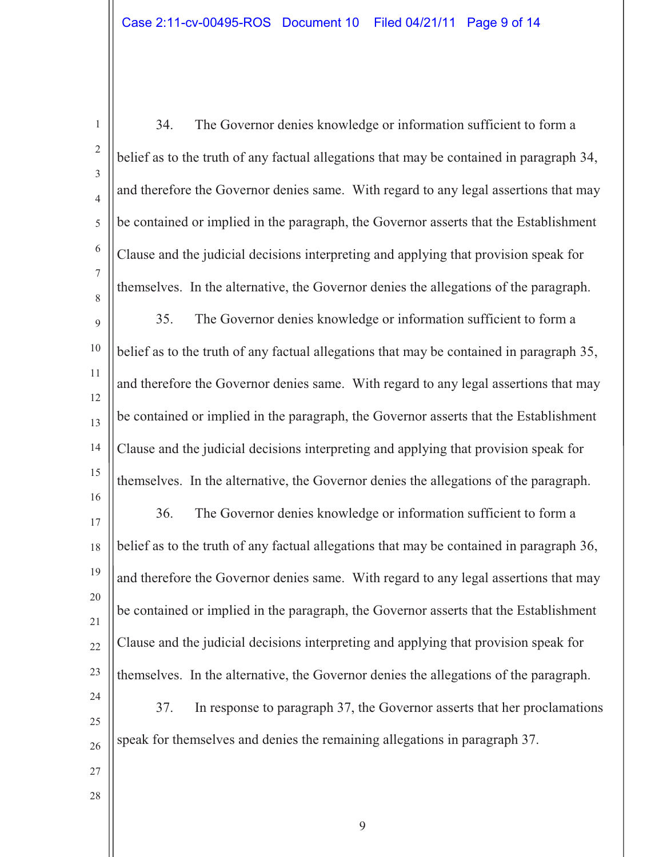1 2 3  $\overline{\mathcal{A}}$ 5 6 7 8 9 10 11 12 13 14 15 16 17 18 19 20 21 22 23 24 25 26 27 28 34. The Governor denies knowledge or information sufficient to form a belief as to the truth of any factual allegations that may be contained in paragraph 34, and therefore the Governor denies same. With regard to any legal assertions that may be contained or implied in the paragraph, the Governor asserts that the Establishment Clause and the judicial decisions interpreting and applying that provision speak for themselves. In the alternative, the Governor denies the allegations of the paragraph. 35. The Governor denies knowledge or information sufficient to form a belief as to the truth of any factual allegations that may be contained in paragraph 35, and therefore the Governor denies same. With regard to any legal assertions that may be contained or implied in the paragraph, the Governor asserts that the Establishment Clause and the judicial decisions interpreting and applying that provision speak for themselves. In the alternative, the Governor denies the allegations of the paragraph. 36. The Governor denies knowledge or information sufficient to form a belief as to the truth of any factual allegations that may be contained in paragraph 36, and therefore the Governor denies same. With regard to any legal assertions that may be contained or implied in the paragraph, the Governor asserts that the Establishment Clause and the judicial decisions interpreting and applying that provision speak for themselves. In the alternative, the Governor denies the allegations of the paragraph. 37. In response to paragraph 37, the Governor asserts that her proclamations speak for themselves and denies the remaining allegations in paragraph 37.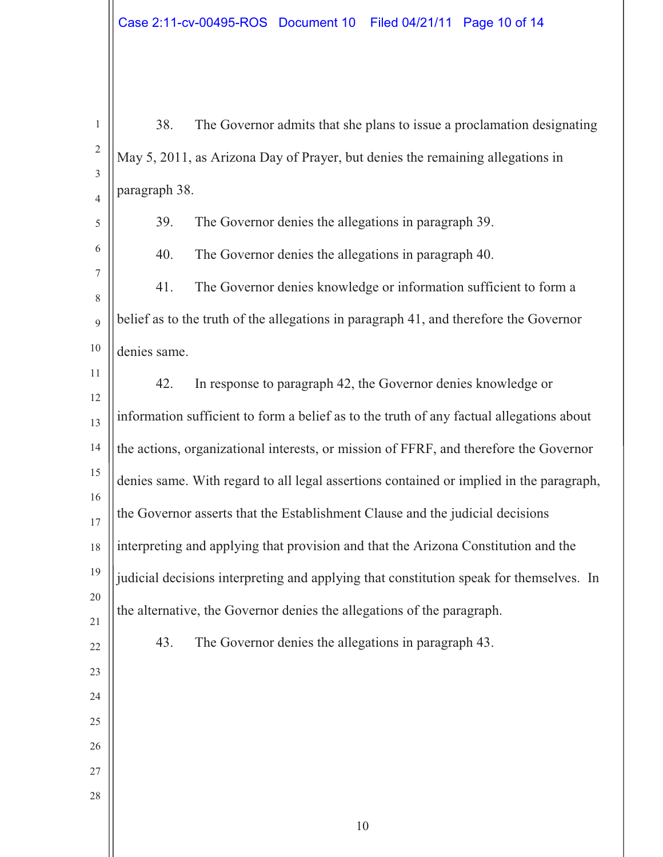38. The Governor admits that she plans to issue a proclamation designating May 5, 2011, as Arizona Day of Prayer, but denies the remaining allegations in paragraph 38.

39. The Governor denies the allegations in paragraph 39.

40. The Governor denies the allegations in paragraph 40.

 41. The Governor denies knowledge or information sufficient to form a belief as to the truth of the allegations in paragraph 41, and therefore the Governor denies same.

 42. In response to paragraph 42, the Governor denies knowledge or information sufficient to form a belief as to the truth of any factual allegations about the actions, organizational interests, or mission of FFRF, and therefore the Governor denies same. With regard to all legal assertions contained or implied in the paragraph, the Governor asserts that the Establishment Clause and the judicial decisions interpreting and applying that provision and that the Arizona Constitution and the judicial decisions interpreting and applying that constitution speak for themselves. In the alternative, the Governor denies the allegations of the paragraph. 43. The Governor denies the allegations in paragraph 43.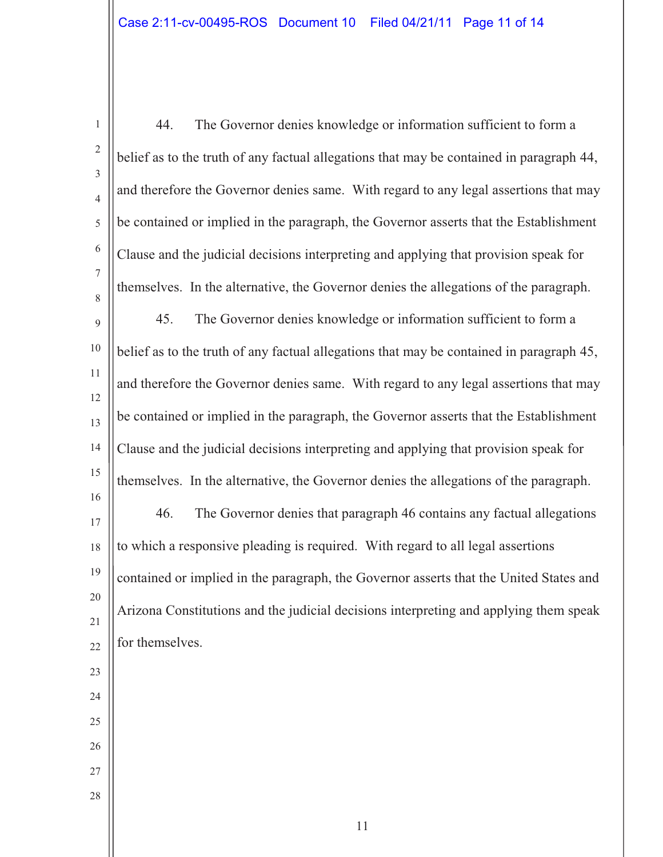| $\mathbf{1}$        | The Governor denies knowledge or information sufficient to form a<br>44.                 |
|---------------------|------------------------------------------------------------------------------------------|
| $\overline{2}$      | belief as to the truth of any factual allegations that may be contained in paragraph 44, |
| 3<br>$\overline{4}$ | and therefore the Governor denies same. With regard to any legal assertions that may     |
| 5                   | be contained or implied in the paragraph, the Governor asserts that the Establishment    |
| 6                   | Clause and the judicial decisions interpreting and applying that provision speak for     |
| $\tau$<br>8         | themselves. In the alternative, the Governor denies the allegations of the paragraph.    |
| 9                   | The Governor denies knowledge or information sufficient to form a<br>45.                 |
| $10\,$              | belief as to the truth of any factual allegations that may be contained in paragraph 45, |
| 11                  | and therefore the Governor denies same. With regard to any legal assertions that may     |
| 12<br>13            | be contained or implied in the paragraph, the Governor asserts that the Establishment    |
| 14                  | Clause and the judicial decisions interpreting and applying that provision speak for     |
| 15                  | themselves. In the alternative, the Governor denies the allegations of the paragraph.    |
| 16                  | The Governor denies that paragraph 46 contains any factual allegations<br>46.            |
| 17                  |                                                                                          |
| 18                  | to which a responsive pleading is required. With regard to all legal assertions          |
| 19                  | contained or implied in the paragraph, the Governor asserts that the United States and   |
| 20<br>21            | Arizona Constitutions and the judicial decisions interpreting and applying them speak    |
| 22                  | for themselves.                                                                          |
| 23                  |                                                                                          |
| 24                  |                                                                                          |
| 25                  |                                                                                          |
| 26                  |                                                                                          |
| 27                  |                                                                                          |
| 28                  |                                                                                          |
|                     |                                                                                          |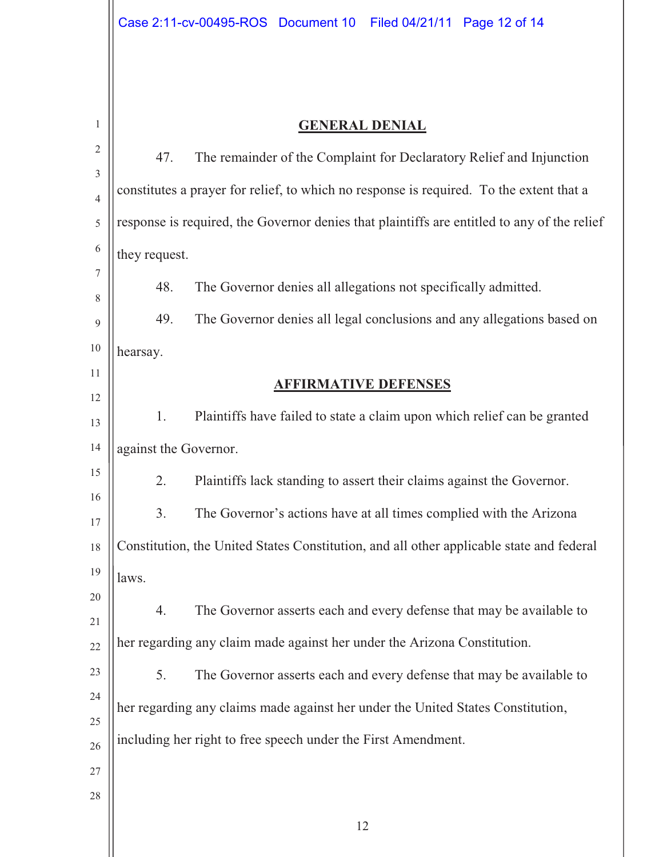## 12 1 2 3 4 5 6 7 8 9 10 11 12 13 14 15 16 17 18 19 20 21 22 23 24 25 26 27 28 **GENERAL DENIAL**  47. The remainder of the Complaint for Declaratory Relief and Injunction constitutes a prayer for relief, to which no response is required. To the extent that a response is required, the Governor denies that plaintiffs are entitled to any of the relief they request. 48. The Governor denies all allegations not specifically admitted. 49. The Governor denies all legal conclusions and any allegations based on hearsay. **AFFIRMATIVE DEFENSES**  1. Plaintiffs have failed to state a claim upon which relief can be granted against the Governor. 2. Plaintiffs lack standing to assert their claims against the Governor. 3. The Governor's actions have at all times complied with the Arizona Constitution, the United States Constitution, and all other applicable state and federal laws. 4. The Governor asserts each and every defense that may be available to her regarding any claim made against her under the Arizona Constitution. 5. The Governor asserts each and every defense that may be available to her regarding any claims made against her under the United States Constitution, including her right to free speech under the First Amendment.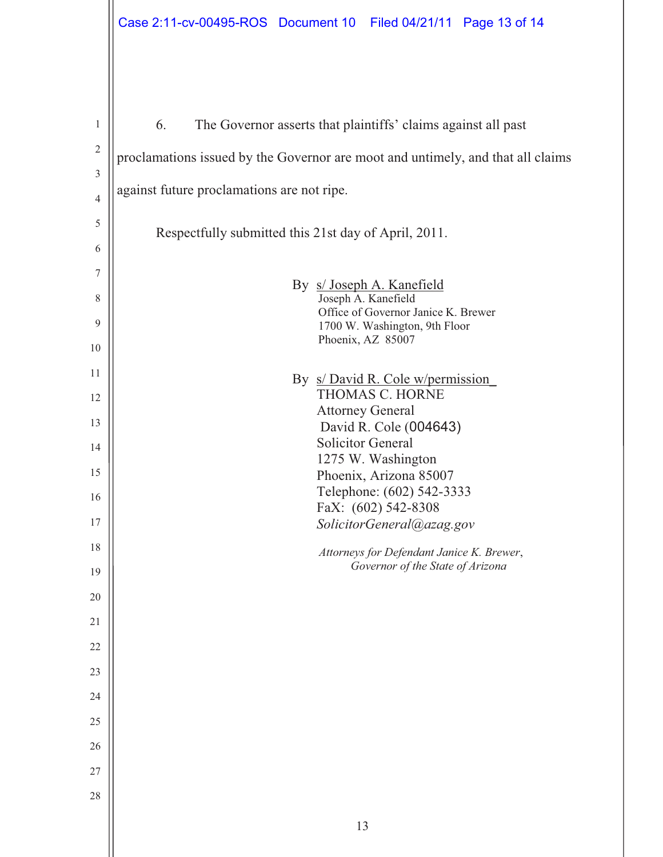| 1              | 6.<br>The Governor asserts that plaintiffs' claims against all past             |  |  |  |
|----------------|---------------------------------------------------------------------------------|--|--|--|
| $\sqrt{2}$     | proclamations issued by the Governor are moot and untimely, and that all claims |  |  |  |
| 3              |                                                                                 |  |  |  |
| $\overline{4}$ | against future proclamations are not ripe.                                      |  |  |  |
| 5              | Respectfully submitted this 21st day of April, 2011.                            |  |  |  |
| 6              |                                                                                 |  |  |  |
| 7              | By s/Joseph A. Kanefield                                                        |  |  |  |
| 8              | Joseph A. Kanefield<br>Office of Governor Janice K. Brewer                      |  |  |  |
| 9              | 1700 W. Washington, 9th Floor                                                   |  |  |  |
| 10             | Phoenix, AZ 85007                                                               |  |  |  |
| 11             | By s/David R. Cole w/permission                                                 |  |  |  |
| 12             | <b>THOMAS C. HORNE</b><br><b>Attorney General</b>                               |  |  |  |
| 13             | David R. Cole (004643)                                                          |  |  |  |
| 14             | <b>Solicitor General</b>                                                        |  |  |  |
| 15             | 1275 W. Washington<br>Phoenix, Arizona 85007                                    |  |  |  |
| 16             | Telephone: (602) 542-3333                                                       |  |  |  |
| 17             | FaX: (602) 542-8308<br>SolicitorGeneral@azag.gov                                |  |  |  |
| 18             |                                                                                 |  |  |  |
| 19             | Attorneys for Defendant Janice K. Brewer,<br>Governor of the State of Arizona   |  |  |  |
| 20             |                                                                                 |  |  |  |
| $21\,$         |                                                                                 |  |  |  |
| 22             |                                                                                 |  |  |  |
| 23             |                                                                                 |  |  |  |
| 24             |                                                                                 |  |  |  |
| 25             |                                                                                 |  |  |  |
| 26             |                                                                                 |  |  |  |
| 27             |                                                                                 |  |  |  |
| 28             |                                                                                 |  |  |  |
|                |                                                                                 |  |  |  |
|                | 13                                                                              |  |  |  |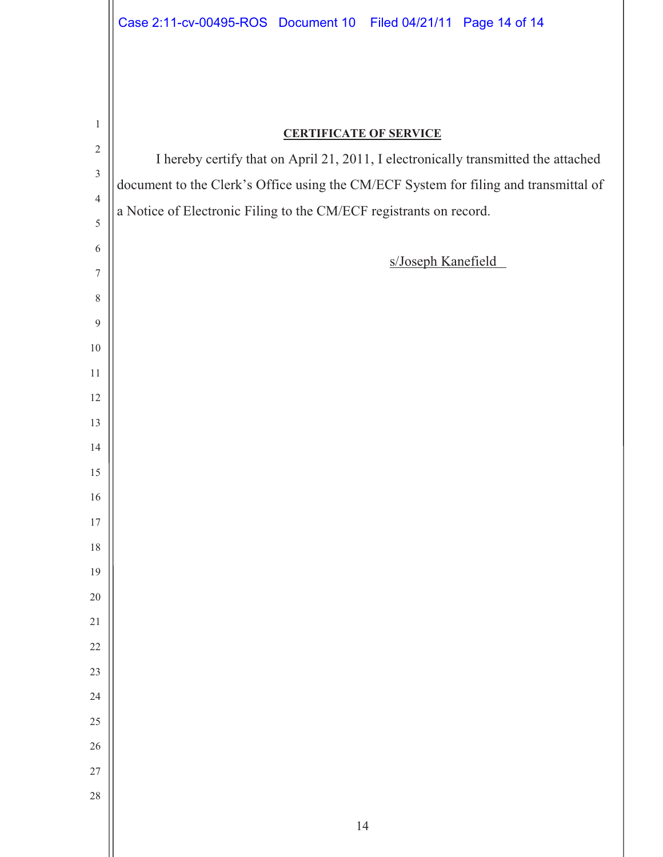| $\mathbf{1}$   | <b>CERTIFICATE OF SERVICE</b>                                                        |  |  |
|----------------|--------------------------------------------------------------------------------------|--|--|
| $\sqrt{2}$     | I hereby certify that on April 21, 2011, I electronically transmitted the attached   |  |  |
| $\mathfrak z$  | document to the Clerk's Office using the CM/ECF System for filing and transmittal of |  |  |
| $\overline{4}$ | a Notice of Electronic Filing to the CM/ECF registrants on record.                   |  |  |
| $\sqrt{5}$     |                                                                                      |  |  |
| 6              | s/Joseph Kanefield                                                                   |  |  |
| $\tau$         |                                                                                      |  |  |
| $\,8\,$        |                                                                                      |  |  |
| $\overline{9}$ |                                                                                      |  |  |
| $10\,$         |                                                                                      |  |  |
| 11             |                                                                                      |  |  |
| 12             |                                                                                      |  |  |
| 13             |                                                                                      |  |  |
| 14             |                                                                                      |  |  |
| 15             |                                                                                      |  |  |
| 16             |                                                                                      |  |  |
| 17             |                                                                                      |  |  |
| $18\,$         |                                                                                      |  |  |
| $19\,$         |                                                                                      |  |  |
| $20\,$         |                                                                                      |  |  |
| $21\,$         |                                                                                      |  |  |
| $22\,$         |                                                                                      |  |  |
| $23\,$         |                                                                                      |  |  |
| $24\,$         |                                                                                      |  |  |
| $25\,$         |                                                                                      |  |  |
| $26\,$         |                                                                                      |  |  |
| 27             |                                                                                      |  |  |
| 28             |                                                                                      |  |  |
|                | 14                                                                                   |  |  |
|                |                                                                                      |  |  |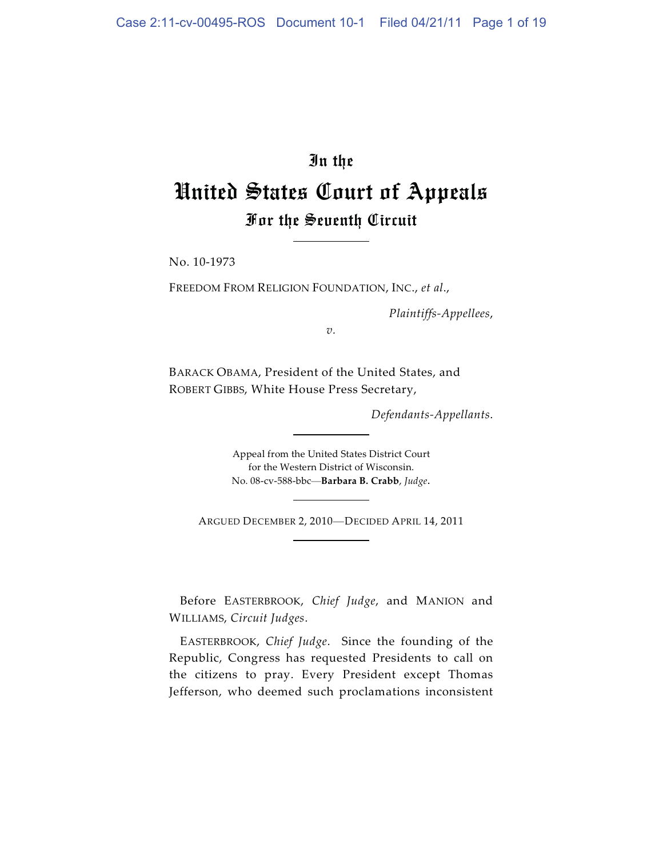# In the United States Court of Appeals For the Seventh Circuit

No. 10-1973

FREEDOM FROM RELIGION FOUNDATION, INC., *et al*.,

*Plaintiffs-Appellees*,

*v.*

BARACK OBAMA, President of the United States, and ROBERT GIBBS, White House Press Secretary,

*Defendants-Appellants*.

Appeal from the United States District Court for the Western District of Wisconsin. No. 08-cv-588-bbc—**Barbara B. Crabb**, *Judge*.

ARGUED DECEMBER 2, <sup>2010</sup>—DECIDED APRIL 14, <sup>2011</sup>

Before EASTERBROOK, *Chief Judge*, and MANION and WILLIAMS, *Circuit Judges*.

EASTERBROOK, *Chief Judge*. Since the founding of the Republic, Congress has requested Presidents to call on the citizens to pray. Every President except Thomas Jefferson, who deemed such proclamations inconsistent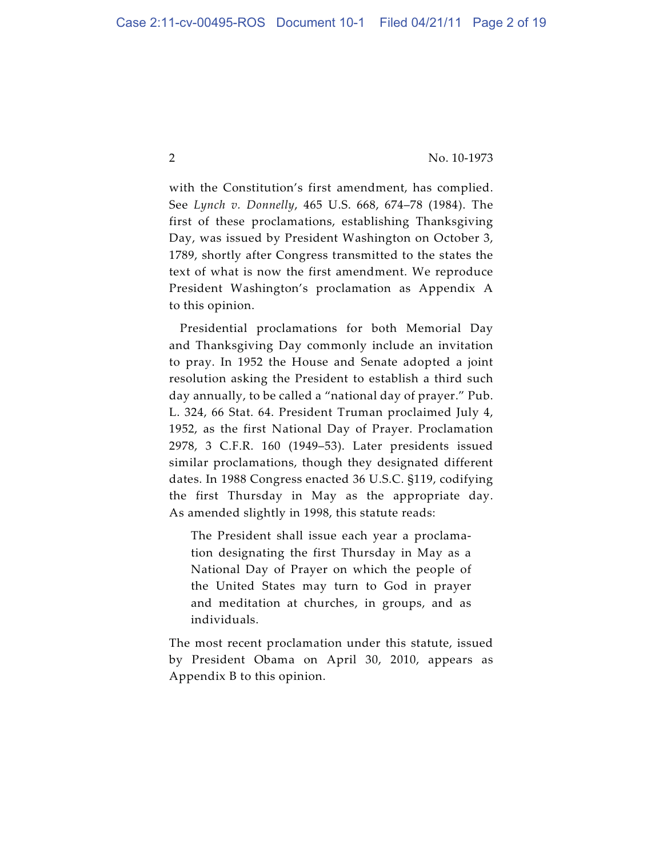with the Constitution's first amendment, has complied. See *Lynch v. Donnelly*, 465 U.S. 668, 674–78 (1984). The first of these proclamations, establishing Thanksgiving Day, was issued by President Washington on October 3, 1789, shortly after Congress transmitted to the states the text of what is now the first amendment. We reproduce President Washington's proclamation as Appendix A to this opinion.

Presidential proclamations for both Memorial Day and Thanksgiving Day commonly include an invitation to pray. In 1952 the House and Senate adopted a joint resolution asking the President to establish a third such day annually, to be called a "national day of prayer." Pub. L. 324, 66 Stat. 64. President Truman proclaimed July 4, 1952, as the first National Day of Prayer. Proclamation 2978, 3 C.F.R. 160 (1949–53). Later presidents issued similar proclamations, though they designated different dates. In 1988 Congress enacted 36 U.S.C. §119, codifying the first Thursday in May as the appropriate day. As amended slightly in 1998, this statute reads:

The President shall issue each year a proclamation designating the first Thursday in May as a National Day of Prayer on which the people of the United States may turn to God in prayer and meditation at churches, in groups, and as individuals.

The most recent proclamation under this statute, issued by President Obama on April 30, 2010, appears as Appendix B to this opinion.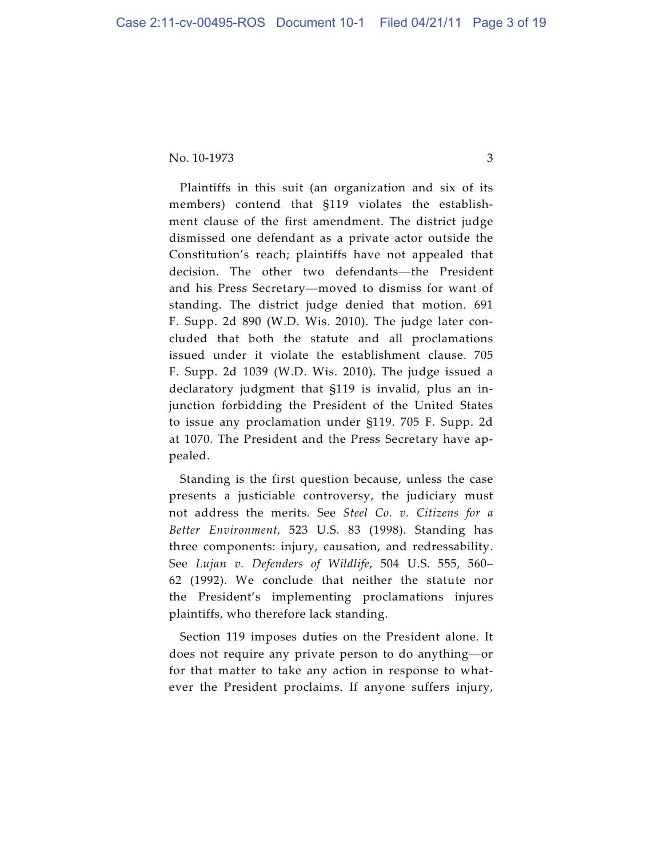Plaintiffs in this suit (an organization and six of its members) contend that §119 violates the establishment clause of the first amendment. The district judge dismissed one defendant as a private actor outside the Constitution's reach; plaintiffs have not appealed that members) contend that §119 violates the establish-<br>ment clause of the first amendment. The district judge<br>dismissed one defendant as a private actor outside the<br>Constitution's reach; plaintiffs have not appealed that<br>decis ment clause of the first amendment. The district judge<br>dismissed one defendant as a private actor outside the<br>Constitution's reach; plaintiffs have not appealed that<br>decision. The other two defendants—the President<br>and his standing. The district judge denied that motion. 691 F. Supp. 2d 890 (W.D. Wis. 2010). The judge later concluded that both the statute and all proclamations issued under it violate the establishment clause. 705 F. Supp. 2d 1039 (W.D. Wis. 2010). The judge issued a declaratory judgment that §119 is invalid, plus an injunction forbidding the President of the United States to issue any proclamation under §119. 705 F. Supp. 2d at 1070. The President and the Press Secretary have appealed.

Standing is the first question because, unless the case presents a justiciable controversy, the judiciary must not address the merits. See *Steel Co. v. Citizens for a Better Environment*, 523 U.S. 83 (1998). Standing has three components: injury, causation, and redressability. See *Lujan v. Defenders of Wildlife*, 504 U.S. 555, 560– 62 (1992). We conclude that neither the statute nor the President's implementing proclamations injures plaintiffs, who therefore lack standing.

Section 119 imposes duties on the President alone. It does not require any private person to do anything—or for that matter to take any action in response to whatever the President proclaims. If anyone suffers injury,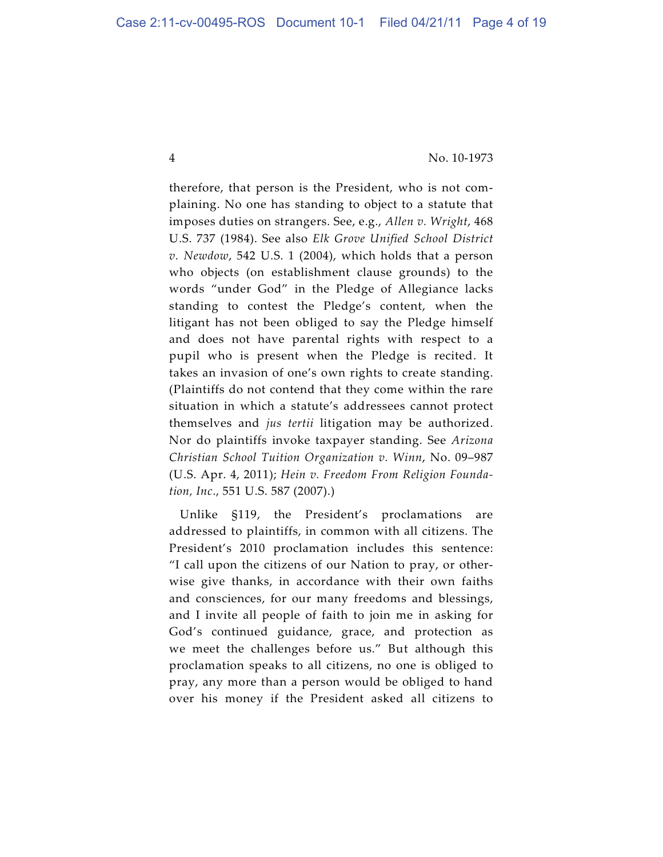therefore, that person is the President, who is not complaining. No one has standing to object to a statute that imposes duties on strangers. See, e.g., *Allen v. Wright*, 468 U.S. 737 (1984). See also *Elk Grove Unified School District v. Newdow*, 542 U.S. 1 (2004), which holds that a person who objects (on establishment clause grounds) to the words "under God" in the Pledge of Allegiance lacks standing to contest the Pledge's content, when the litigant has not been obliged to say the Pledge himself and does not have parental rights with respect to a pupil who is present when the Pledge is recited. It takes an invasion of one's own rights to create standing. (Plaintiffs do not contend that they come within the rare situation in which a statute's addressees cannot protect themselves and *jus tertii* litigation may be authorized. Nor do plaintiffs invoke taxpayer standing. See *Arizona Christian School Tuition Organization v. Winn*, No. 09–987 (U.S. Apr. 4, 2011); *Hein v. Freedom From Religion Foundation, Inc*., 551 U.S. 587 (2007).)

Unlike §119, the President's proclamations are addressed to plaintiffs, in common with all citizens. The President's 2010 proclamation includes this sentence: "I call upon the citizens of our Nation to pray, or otherwise give thanks, in accordance with their own faiths and consciences, for our many freedoms and blessings, and I invite all people of faith to join me in asking for God's continued guidance, grace, and protection as we meet the challenges before us." But although this proclamation speaks to all citizens, no one is obliged to pray, any more than a person would be obliged to hand over his money if the President asked all citizens to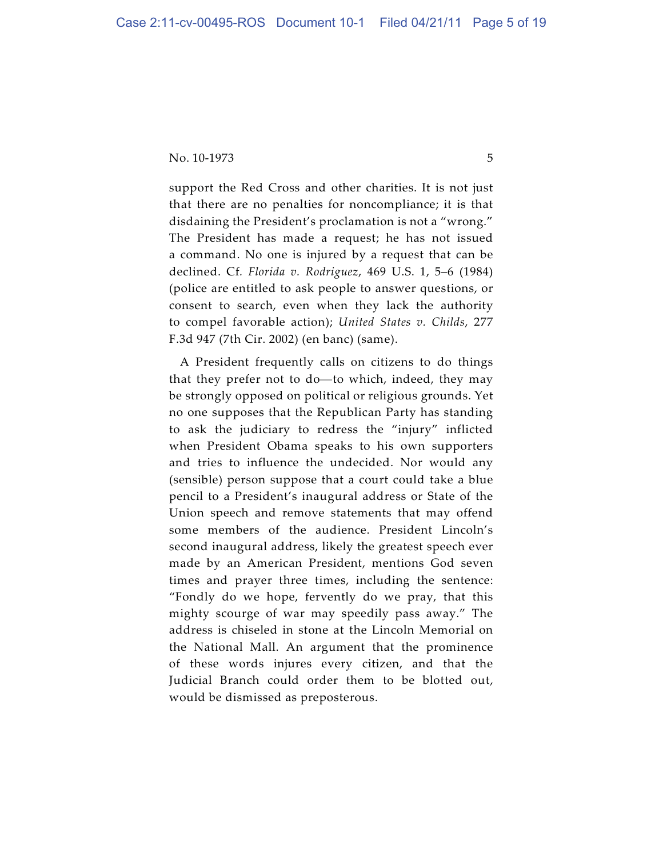support the Red Cross and other charities. It is not just that there are no penalties for noncompliance; it is that disdaining the President's proclamation is not a "wrong." The President has made a request; he has not issued a command. No one is injured by a request that can be declined. Cf*. Florida v. Rodriguez*, 469 U.S. 1, 5–6 (1984) (police are entitled to ask people to answer questions, or consent to search, even when they lack the authority to compel favorable action); *United States v. Childs*, 277 F.3d 947 (7th Cir. 2002) (en banc) (same). consent to search, even when they lack the authority<br>to compel favorable action); *United States v. Childs*, 277<br>F.3d 947 (7th Cir. 2002) (en banc) (same).<br>A President frequently calls on citizens to do things<br>that they pr

A President frequently calls on citizens to do things be strongly opposed on political or religious grounds. Yet no one supposes that the Republican Party has standing to ask the judiciary to redress the "injury" inflicted when President Obama speaks to his own supporters and tries to influence the undecided. Nor would any (sensible) person suppose that a court could take a blue pencil to a President's inaugural address or State of the Union speech and remove statements that may offend some members of the audience. President Lincoln's second inaugural address, likely the greatest speech ever made by an American President, mentions God seven times and prayer three times, including the sentence: "Fondly do we hope, fervently do we pray, that this mighty scourge of war may speedily pass away." The address is chiseled in stone at the Lincoln Memorial on the National Mall. An argument that the prominence of these words injures every citizen, and that the Judicial Branch could order them to be blotted out, would be dismissed as preposterous.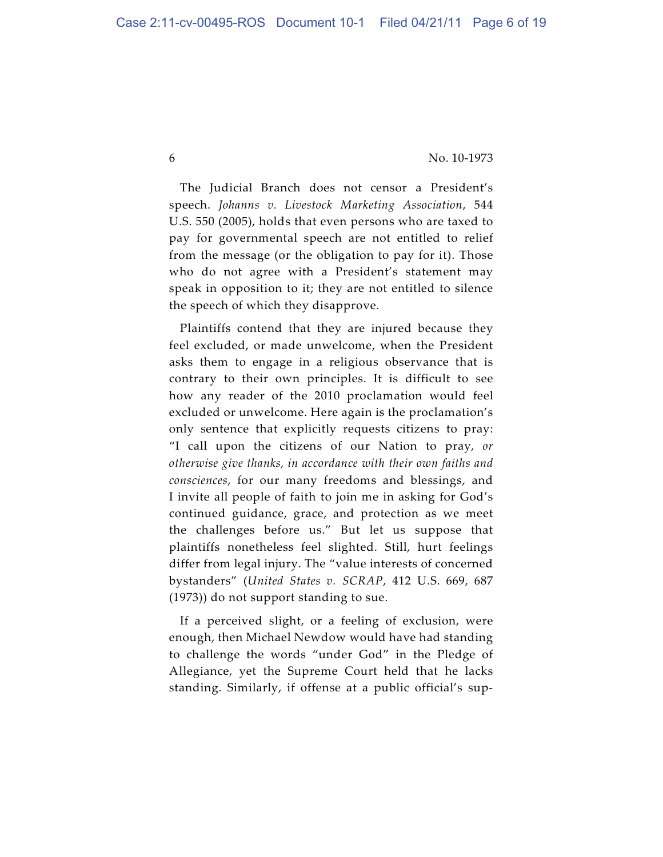The Judicial Branch does not censor a President's speech. *Johanns v. Livestock Marketing Association*, 544 U.S. 550 (2005), holds that even persons who are taxed to pay for governmental speech are not entitled to relief from the message (or the obligation to pay for it). Those who do not agree with a President's statement may speak in opposition to it; they are not entitled to silence the speech of which they disapprove.

Plaintiffs contend that they are injured because they feel excluded, or made unwelcome, when the President asks them to engage in a religious observance that is contrary to their own principles. It is difficult to see how any reader of the 2010 proclamation would feel excluded or unwelcome. Here again is the proclamation's only sentence that explicitly requests citizens to pray: "I call upon the citizens of our Nation to pray, *or otherwise give thanks, in accordance with their own faiths and consciences*, for our many freedoms and blessings, and I invite all people of faith to join me in asking for God's continued guidance, grace, and protection as we meet the challenges before us." But let us suppose that plaintiffs nonetheless feel slighted. Still, hurt feelings differ from legal injury. The "value interests of concerned bystanders" (*United States v. SCRAP*, 412 U.S. 669, 687 (1973)) do not support standing to sue.

If a perceived slight, or a feeling of exclusion, were enough, then Michael Newdow would have had standing to challenge the words "under God" in the Pledge of Allegiance, yet the Supreme Court held that he lacks standing. Similarly, if offense at a public official's sup-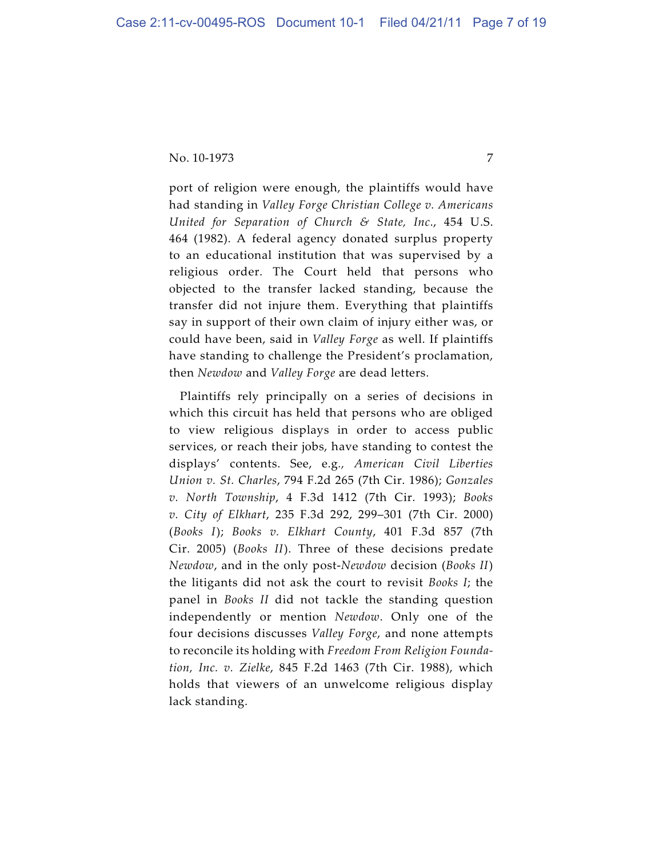port of religion were enough, the plaintiffs would have had standing in *Valley Forge Christian College v. Americans United for Separation of Church & State, Inc*., 454 U.S. 464 (1982). A federal agency donated surplus property to an educational institution that was supervised by a religious order. The Court held that persons who objected to the transfer lacked standing, because the transfer did not injure them. Everything that plaintiffs say in support of their own claim of injury either was, or could have been, said in *Valley Forge* as well. If plaintiffs have standing to challenge the President's proclamation, then *Newdow* and *Valley Forge* are dead letters.

Plaintiffs rely principally on a series of decisions in which this circuit has held that persons who are obliged to view religious displays in order to access public services, or reach their jobs, have standing to contest the displays' contents. See, e.g*., American Civil Liberties Union v. St. Charles*, 794 F.2d 265 (7th Cir. 1986); *Gonzales v. North Township*, 4 F.3d 1412 (7th Cir. 1993); *Books v. City of Elkhart*, 235 F.3d 292, 299–301 (7th Cir. 2000) (*Books I*); *Books v. Elkhart County*, 401 F.3d 857 (7th Cir. 2005) (*Books II*). Three of these decisions predate *Newdow*, and in the only post-*Newdow* decision (*Books II*) the litigants did not ask the court to revisit *Books I*; the panel in *Books II* did not tackle the standing question independently or mention *Newdow*. Only one of the four decisions discusses *Valley Forge*, and none attempts to reconcile its holding with *Freedom From Religion Foundation, Inc. v. Zielke*, 845 F.2d 1463 (7th Cir. 1988), which holds that viewers of an unwelcome religious display lack standing.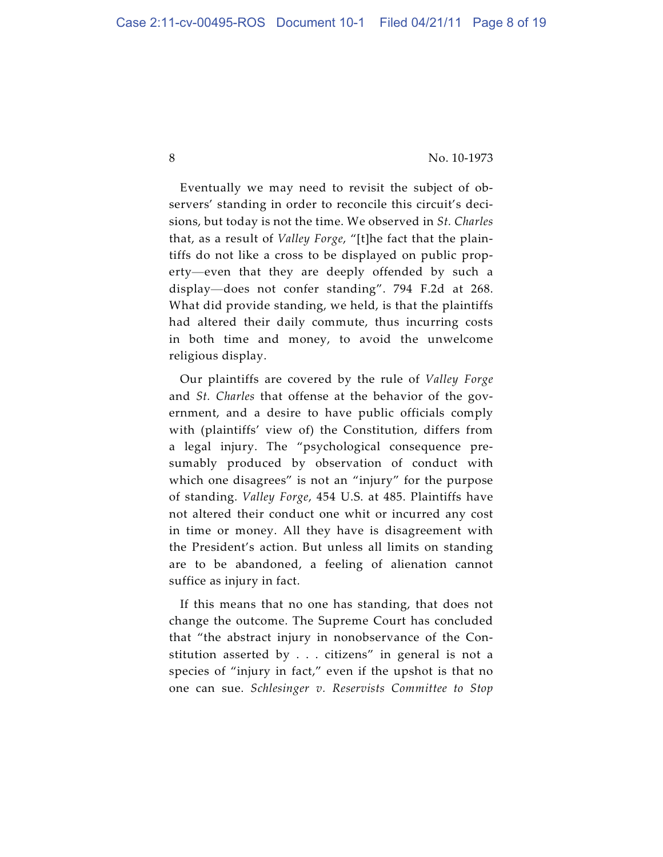Eventually we may need to revisit the subject of observers' standing in order to reconcile this circuit's decisions, but today is not the time. We observed in *St. Charles* that, as a result of *Valley Forge*, "[t]he fact that the plaintiffs do not like a cross to be displayed on public propservers' standing in order to reconcile this circuit's decisions, but today is not the time. We observed in *St. Charles* that, as a result of *Valley Forge*, "[t]he fact that the plaintiffs do not like a cross to be displ sions, but today is not the time. We observed in *St. Charles*<br>that, as a result of *Valley Forge*, "[t]he fact that the plain-<br>tiffs do not like a cross to be displayed on public prop-<br>erty—even that they are deeply offen What did provide standing, we held, is that the plaintiffs had altered their daily commute, thus incurring costs in both time and money, to avoid the unwelcome religious display.

Our plaintiffs are covered by the rule of *Valley Forge* and *St. Charles* that offense at the behavior of the government, and a desire to have public officials comply with (plaintiffs' view of) the Constitution, differs from a legal injury. The "psychological consequence presumably produced by observation of conduct with which one disagrees" is not an "injury" for the purpose of standing. *Valley Forge*, 454 U.S. at 485. Plaintiffs have not altered their conduct one whit or incurred any cost in time or money. All they have is disagreement with the President's action. But unless all limits on standing are to be abandoned, a feeling of alienation cannot suffice as injury in fact.

If this means that no one has standing, that does not change the outcome. The Supreme Court has concluded that "the abstract injury in nonobservance of the Constitution asserted by . . . citizens" in general is not a species of "injury in fact," even if the upshot is that no one can sue. *Schlesinger v. Reservists Committee to Stop*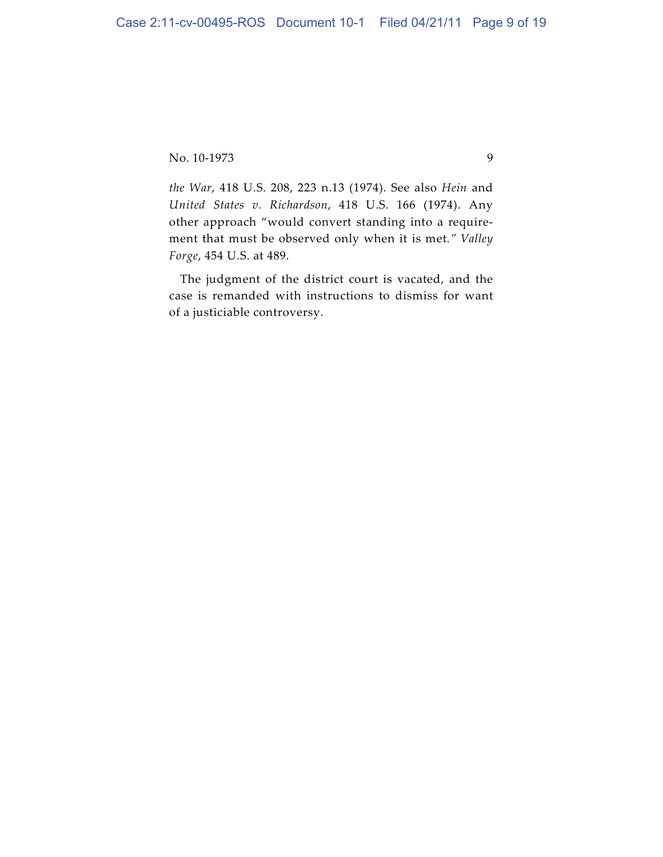*the War*, 418 U.S. 208, 223 n.13 (1974). See also *Hein* and *United States v. Richardson*, 418 U.S. 166 (1974). Any other approach "would convert standing into a requirement that must be observed only when it is met*." Valley Forge*, 454 U.S. at 489.

The judgment of the district court is vacated, and the case is remanded with instructions to dismiss for want of a justiciable controversy.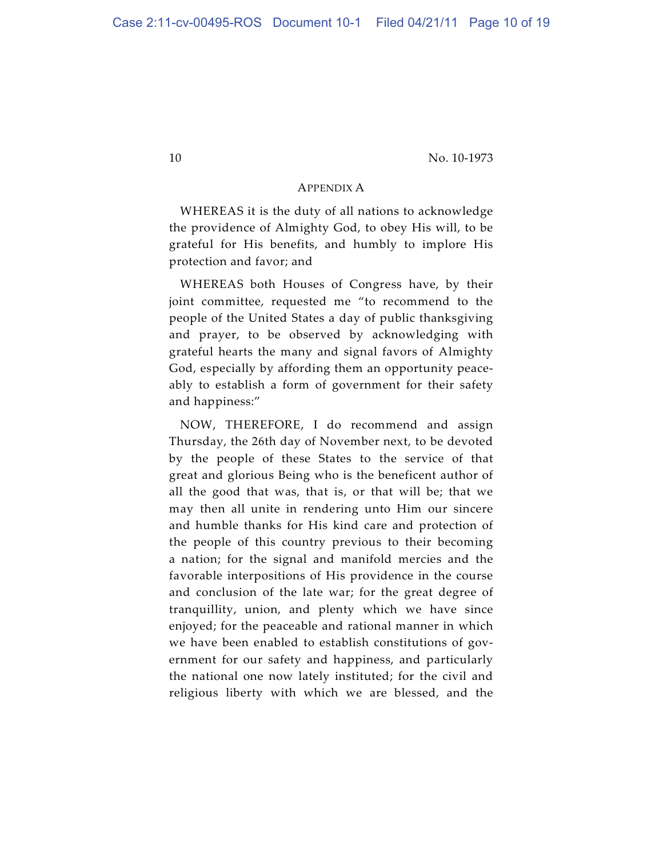#### APPENDIX A

WHEREAS it is the duty of all nations to acknowledge the providence of Almighty God, to obey His will, to be grateful for His benefits, and humbly to implore His protection and favor; and

WHEREAS both Houses of Congress have, by their joint committee, requested me "to recommend to the people of the United States a day of public thanksgiving and prayer, to be observed by acknowledging with grateful hearts the many and signal favors of Almighty God, especially by affording them an opportunity peaceably to establish a form of government for their safety and happiness:"

NOW, THEREFORE, I do recommend and assign Thursday, the 26th day of November next, to be devoted by the people of these States to the service of that great and glorious Being who is the beneficent author of all the good that was, that is, or that will be; that we may then all unite in rendering unto Him our sincere and humble thanks for His kind care and protection of the people of this country previous to their becoming a nation; for the signal and manifold mercies and the favorable interpositions of His providence in the course and conclusion of the late war; for the great degree of tranquillity, union, and plenty which we have since enjoyed; for the peaceable and rational manner in which we have been enabled to establish constitutions of government for our safety and happiness, and particularly the national one now lately instituted; for the civil and religious liberty with which we are blessed, and the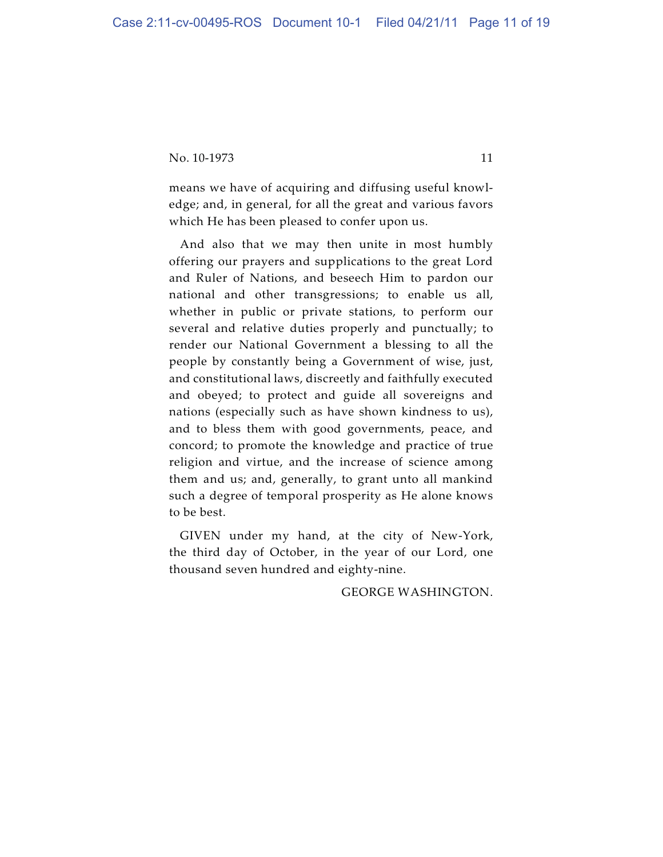means we have of acquiring and diffusing useful knowledge; and, in general, for all the great and various favors which He has been pleased to confer upon us.

And also that we may then unite in most humbly offering our prayers and supplications to the great Lord and Ruler of Nations, and beseech Him to pardon our national and other transgressions; to enable us all, whether in public or private stations, to perform our several and relative duties properly and punctually; to render our National Government a blessing to all the people by constantly being a Government of wise, just, and constitutional laws, discreetly and faithfully executed and obeyed; to protect and guide all sovereigns and nations (especially such as have shown kindness to us), and to bless them with good governments, peace, and concord; to promote the knowledge and practice of true religion and virtue, and the increase of science among them and us; and, generally, to grant unto all mankind such a degree of temporal prosperity as He alone knows to be best.

GIVEN under my hand, at the city of New-York, the third day of October, in the year of our Lord, one thousand seven hundred and eighty-nine.

GEORGE WASHINGTON.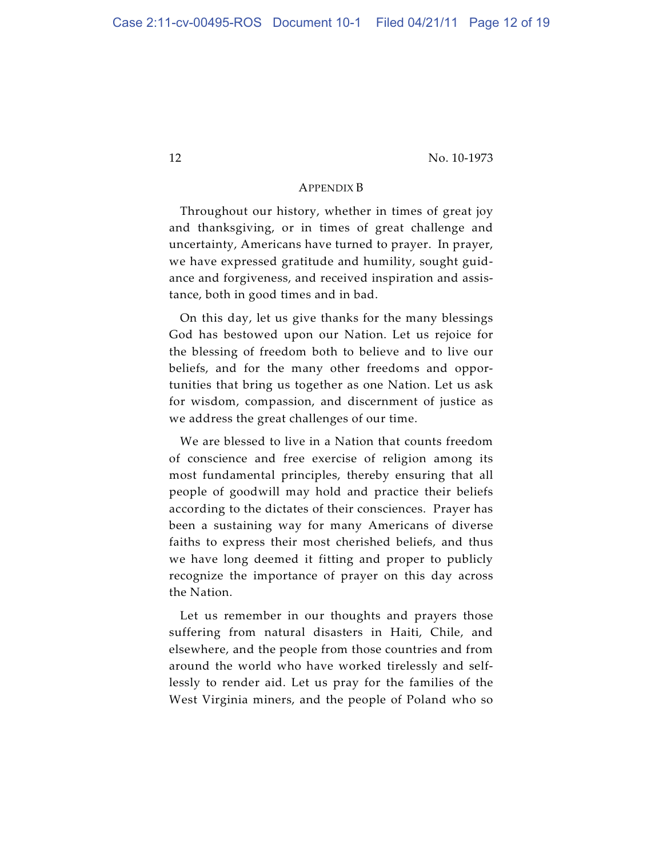#### APPENDIX B

Throughout our history, whether in times of great joy and thanksgiving, or in times of great challenge and uncertainty, Americans have turned to prayer. In prayer, we have expressed gratitude and humility, sought guidance and forgiveness, and received inspiration and assistance, both in good times and in bad.

On this day, let us give thanks for the many blessings God has bestowed upon our Nation. Let us rejoice for the blessing of freedom both to believe and to live our beliefs, and for the many other freedoms and opportunities that bring us together as one Nation. Let us ask for wisdom, compassion, and discernment of justice as we address the great challenges of our time.

We are blessed to live in a Nation that counts freedom of conscience and free exercise of religion among its most fundamental principles, thereby ensuring that all people of goodwill may hold and practice their beliefs according to the dictates of their consciences. Prayer has been a sustaining way for many Americans of diverse faiths to express their most cherished beliefs, and thus we have long deemed it fitting and proper to publicly recognize the importance of prayer on this day across the Nation.

Let us remember in our thoughts and prayers those suffering from natural disasters in Haiti, Chile, and elsewhere, and the people from those countries and from around the world who have worked tirelessly and selflessly to render aid. Let us pray for the families of the West Virginia miners, and the people of Poland who so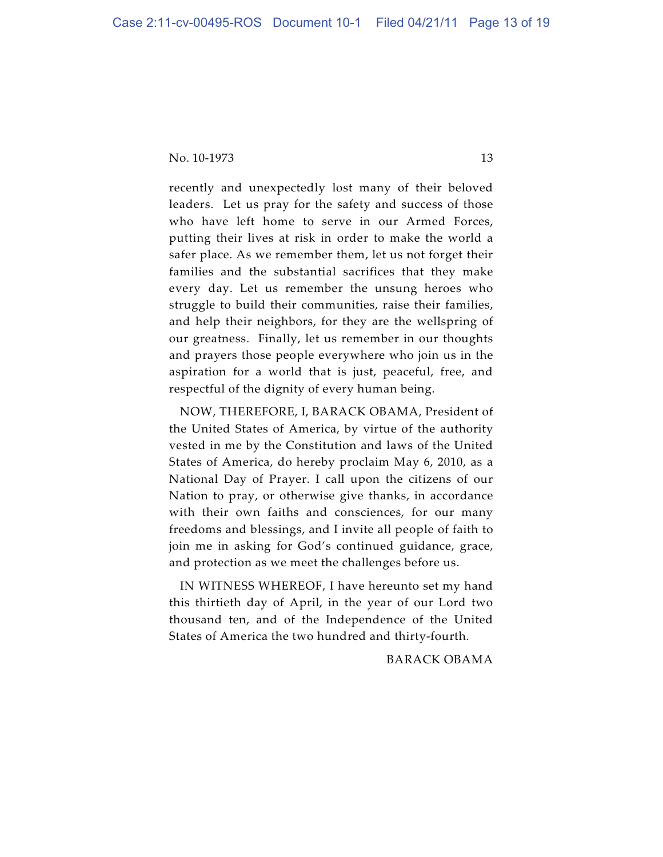recently and unexpectedly lost many of their beloved leaders. Let us pray for the safety and success of those who have left home to serve in our Armed Forces, putting their lives at risk in order to make the world a safer place. As we remember them, let us not forget their families and the substantial sacrifices that they make every day. Let us remember the unsung heroes who struggle to build their communities, raise their families, and help their neighbors, for they are the wellspring of our greatness. Finally, let us remember in our thoughts and prayers those people everywhere who join us in the aspiration for a world that is just, peaceful, free, and respectful of the dignity of every human being.

NOW, THEREFORE, I, BARACK OBAMA, President of the United States of America, by virtue of the authority vested in me by the Constitution and laws of the United States of America, do hereby proclaim May 6, 2010, as a National Day of Prayer. I call upon the citizens of our Nation to pray, or otherwise give thanks, in accordance with their own faiths and consciences, for our many freedoms and blessings, and I invite all people of faith to join me in asking for God's continued guidance, grace, and protection as we meet the challenges before us.

IN WITNESS WHEREOF, I have hereunto set my hand this thirtieth day of April, in the year of our Lord two thousand ten, and of the Independence of the United States of America the two hundred and thirty-fourth.

## BARACK OBAMA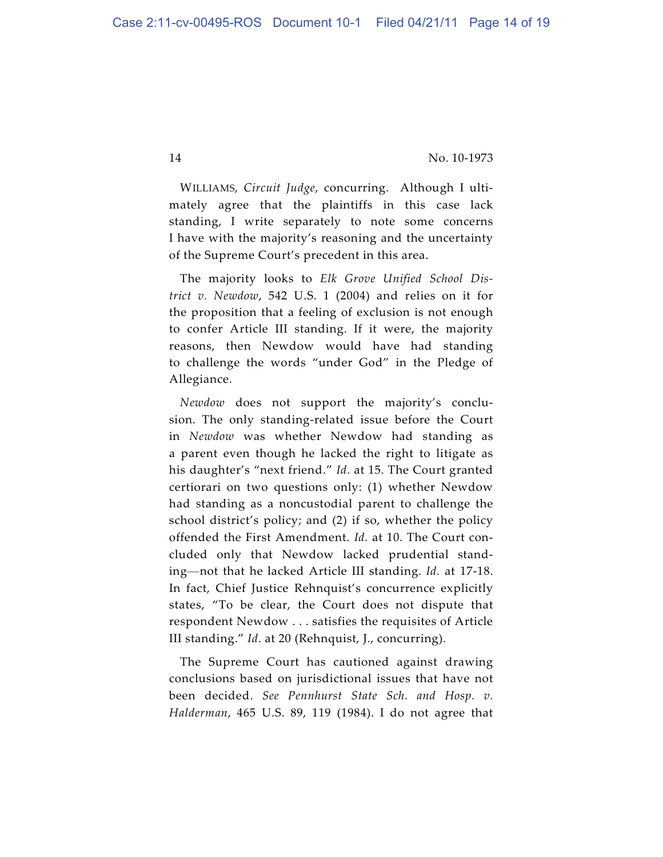WILLIAMS, *Circuit Judge*, concurring. Although I ultimately agree that the plaintiffs in this case lack standing, I write separately to note some concerns I have with the majority's reasoning and the uncertainty of the Supreme Court's precedent in this area.

The majority looks to *Elk Grove Unified School District v. Newdow*, 542 U.S. 1 (2004) and relies on it for the proposition that a feeling of exclusion is not enough to confer Article III standing. If it were, the majority reasons, then Newdow would have had standing to challenge the words "under God" in the Pledge of Allegiance.

*Newdow* does not support the majority's conclusion. The only standing-related issue before the Court in *Newdow* was whether Newdow had standing as a parent even though he lacked the right to litigate as his daughter's "next friend." *Id*. at 15. The Court granted certiorari on two questions only: (1) whether Newdow had standing as a noncustodial parent to challenge the school district's policy; and (2) if so, whether the policy offended the First Amendment. *Id.* at 10. The Court concluded only that Newdow lacked prudential standing—not that he lacked Article III standing. *Id.* at 17-18. In fact, Chief Justice Rehnquist's concurrence explicitly states, "To be clear, the Court does not dispute that respondent Newdow . . . satisfies the requisites of Article III standing." *Id*. at 20 (Rehnquist, J., concurring).

The Supreme Court has cautioned against drawing conclusions based on jurisdictional issues that have not been decided. *See Pennhurst State Sch. and Hosp. v. Halderman*, 465 U.S. 89, 119 (1984). I do not agree that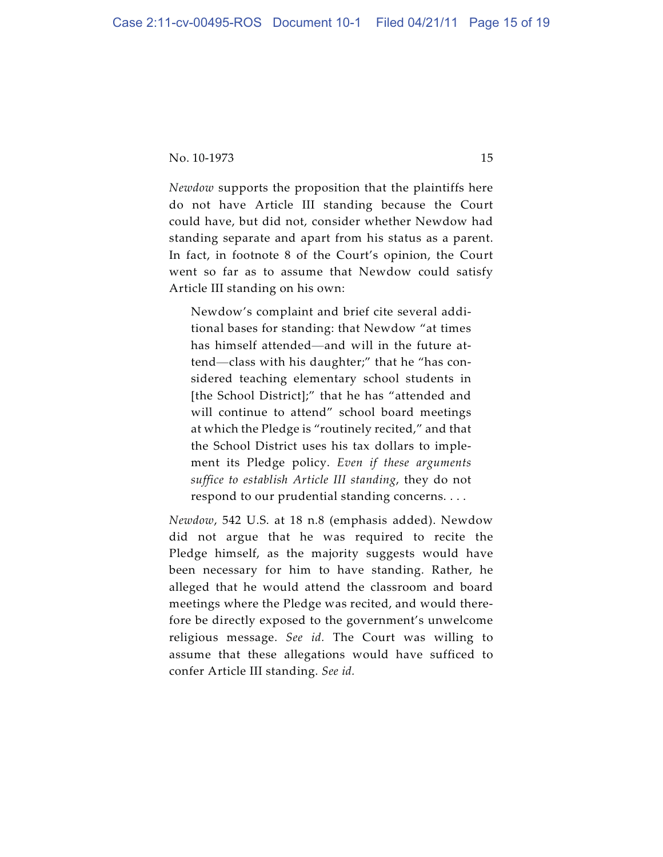*Newdow* supports the proposition that the plaintiffs here do not have Article III standing because the Court could have, but did not, consider whether Newdow had standing separate and apart from his status as a parent. In fact, in footnote 8 of the Court's opinion, the Court went so far as to assume that Newdow could satisfy Article III standing on his own:

Newdow's complaint and brief cite several additional bases for standing: that Newdow "at times it so far as to assume that Newdow could sat<br>cle III standing on his own:<br>Newdow's complaint and brief cite several addi-<br>tional bases for standing: that Newdow "at times<br>has himself attended—and will in the future atcle III standing on his own:<br>Newdow's complaint and brief cite several additional bases for standing: that Newdow "at times<br>has himself attended—and will in the future at-<br>tend—class with his daughter;" that he "has considered teaching elementary school students in [the School District];" that he has "attended and will continue to attend" school board meetings at which the Pledge is "routinely recited," and that the School District uses his tax dollars to implement its Pledge policy. *Even if these arguments suffice to establish Article III standing*, they do not respond to our prudential standing concerns. . . .

*Newdow*, 542 U.S. at 18 n.8 (emphasis added). Newdow did not argue that he was required to recite the Pledge himself, as the majority suggests would have been necessary for him to have standing. Rather, he alleged that he would attend the classroom and board meetings where the Pledge was recited, and would therefore be directly exposed to the government's unwelcome religious message. *See id.* The Court was willing to assume that these allegations would have sufficed to confer Article III standing. *See id.*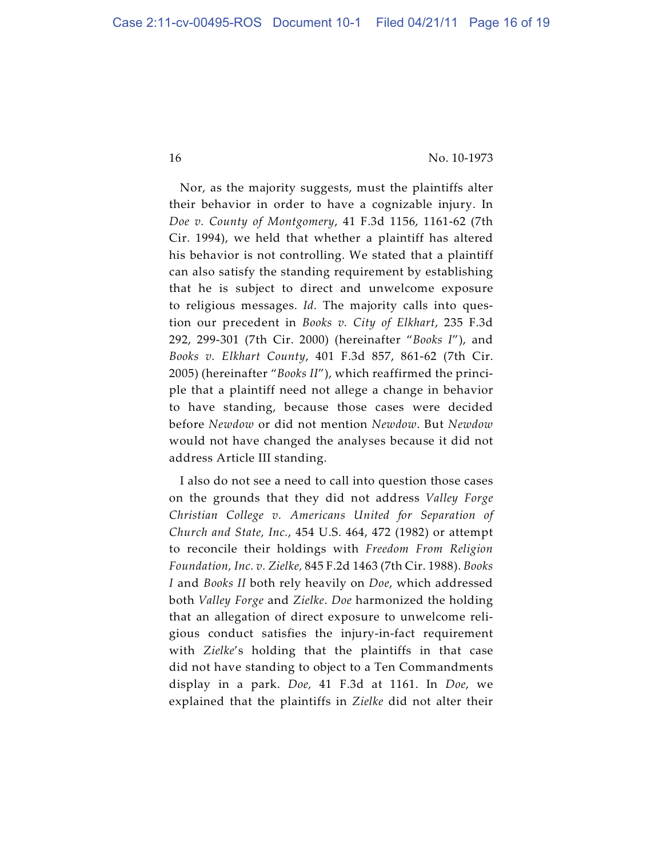Nor, as the majority suggests, must the plaintiffs alter their behavior in order to have a cognizable injury. In *Doe v. County of Montgomery*, 41 F.3d 1156, 1161-62 (7th Cir. 1994), we held that whether a plaintiff has altered his behavior is not controlling. We stated that a plaintiff can also satisfy the standing requirement by establishing that he is subject to direct and unwelcome exposure to religious messages. *Id.* The majority calls into question our precedent in *Books v. City of Elkhart*, 235 F.3d 292, 299-301 (7th Cir. 2000) (hereinafter "*Books I*"), and *Books v. Elkhart County*, 401 F.3d 857, 861-62 (7th Cir. 2005) (hereinafter "*Books II*"), which reaffirmed the principle that a plaintiff need not allege a change in behavior to have standing, because those cases were decided before *Newdow* or did not mention *Newdow*. But *Newdow* would not have changed the analyses because it did not address Article III standing.

I also do not see a need to call into question those cases on the grounds that they did not address *Valley Forge Christian College v. Americans United for Separation of Church and State, Inc.*, 454 U.S. 464, 472 (1982) or attempt to reconcile their holdings with *Freedom From Religion Foundation, Inc. v. Zielke,* 845 F.2d 1463 (7th Cir. 1988). *Books I* and *Books II* both rely heavily on *Doe*, which addressed both *Valley Forge* and *Zielke*. *Doe* harmonized the holding that an allegation of direct exposure to unwelcome religious conduct satisfies the injury-in-fact requirement with *Zielke*'s holding that the plaintiffs in that case did not have standing to object to a Ten Commandments display in a park. *Doe,* 41 F.3d at 1161. In *Doe*, we explained that the plaintiffs in *Zielke* did not alter their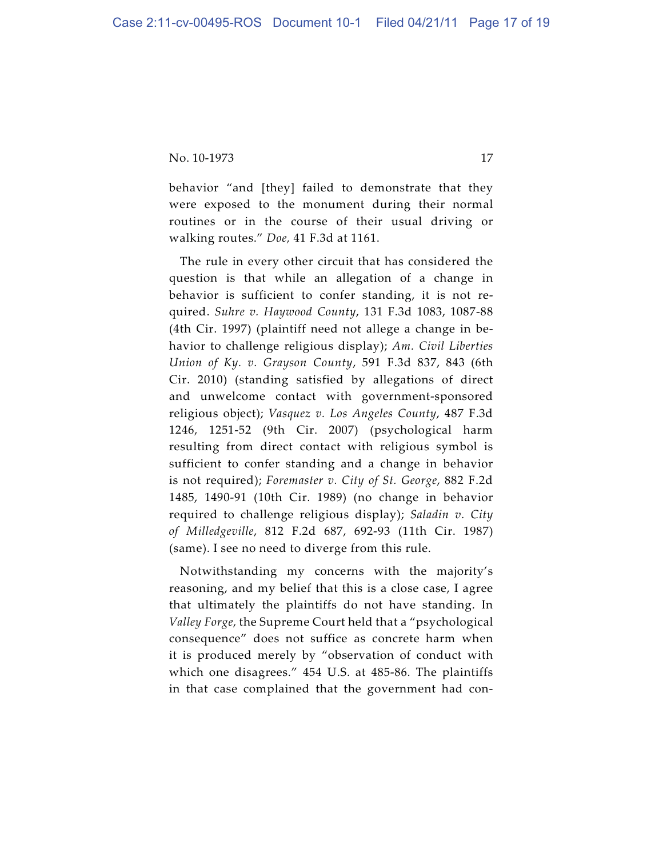behavior "and [they] failed to demonstrate that they were exposed to the monument during their normal routines or in the course of their usual driving or walking routes." *Doe,* 41 F.3d at 1161.

The rule in every other circuit that has considered the question is that while an allegation of a change in behavior is sufficient to confer standing, it is not required. *Suhre v. Haywood County*, 131 F.3d 1083, 1087-88 (4th Cir. 1997) (plaintiff need not allege a change in behavior to challenge religious display); *Am. Civil Liberties Union of Ky. v. Grayson County*, 591 F.3d 837, 843 (6th Cir. 2010) (standing satisfied by allegations of direct and unwelcome contact with government-sponsored religious object); *Vasquez v. Los Angeles County*, 487 F.3d 1246, 1251-52 (9th Cir. 2007) (psychological harm resulting from direct contact with religious symbol is sufficient to confer standing and a change in behavior is not required); *Foremaster v. City of St. George*, 882 F.2d 1485, 1490-91 (10th Cir. 1989) (no change in behavior required to challenge religious display); *Saladin v. City of Milledgeville*, 812 F.2d 687, 692-93 (11th Cir. 1987) (same). I see no need to diverge from this rule.

Notwithstanding my concerns with the majority's reasoning, and my belief that this is a close case, I agree that ultimately the plaintiffs do not have standing. In *Valley Forge*, the Supreme Court held that a "psychological consequence" does not suffice as concrete harm when it is produced merely by "observation of conduct with which one disagrees." 454 U.S. at 485-86. The plaintiffs in that case complained that the government had con-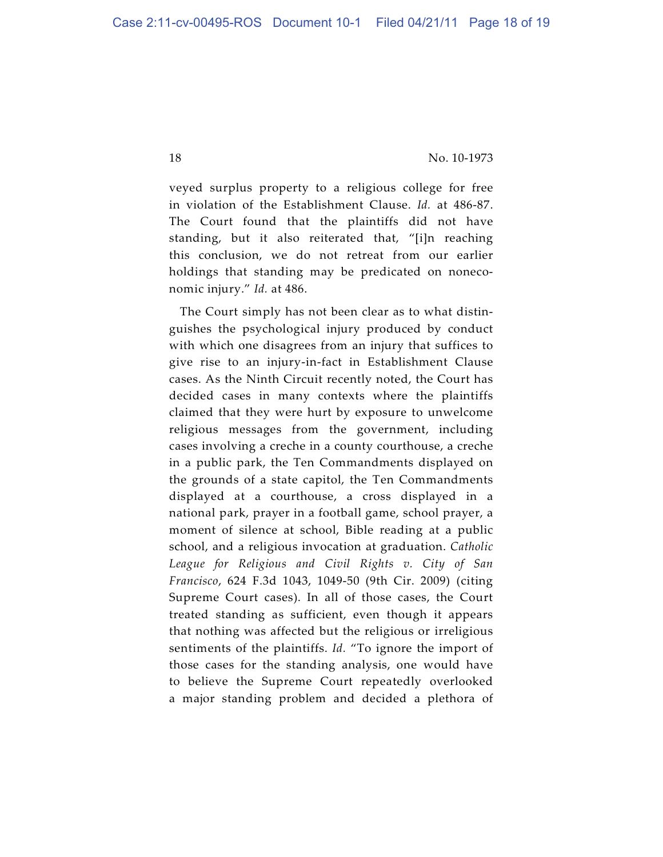veyed surplus property to a religious college for free in violation of the Establishment Clause. *Id.* at 486-87. The Court found that the plaintiffs did not have standing, but it also reiterated that, "[i]n reaching this conclusion, we do not retreat from our earlier holdings that standing may be predicated on noneconomic injury." *Id.* at 486.

The Court simply has not been clear as to what distinguishes the psychological injury produced by conduct with which one disagrees from an injury that suffices to give rise to an injury-in-fact in Establishment Clause cases. As the Ninth Circuit recently noted, the Court has decided cases in many contexts where the plaintiffs claimed that they were hurt by exposure to unwelcome religious messages from the government, including cases involving a creche in a county courthouse, a creche in a public park, the Ten Commandments displayed on the grounds of a state capitol, the Ten Commandments displayed at a courthouse, a cross displayed in a national park, prayer in a football game, school prayer, a moment of silence at school, Bible reading at a public school, and a religious invocation at graduation. *Catholic League for Religious and Civil Rights v. City of San Francisco*, 624 F.3d 1043, 1049-50 (9th Cir. 2009) (citing Supreme Court cases). In all of those cases, the Court treated standing as sufficient, even though it appears that nothing was affected but the religious or irreligious sentiments of the plaintiffs. *Id.* "To ignore the import of those cases for the standing analysis, one would have to believe the Supreme Court repeatedly overlooked a major standing problem and decided a plethora of